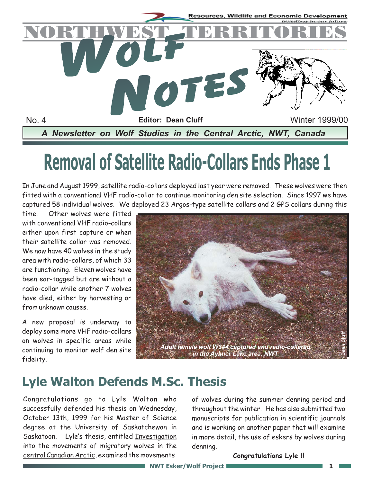

# **Removal of Satellite Radio-Collars Ends Phase 1**

In June and August 1999, satellite radio-collars deployed last year were removed. These wolves were then fitted with a conventional VHF radio-collar to continue monitoring den site selection. Since 1997 we have captured 58 individual wolves. We deployed 23 Argos-type satellite collars and 2 GPS collars during this

. Other wolves were fitted with conventional VHF radio-collars either upon first capture or when their satellite collar was removed. We now have 40 wolves in the study area with radio-collars, of which 33 are functioning. Eleven wolves have been ear-tagged but are without a radio-collar while another 7 wolves have died, either by harvesting or from unknown causes. time

A new proposal is underway to deploy some more VHF radio-collars on wolves in specific areas while continuing to monitor wolf den site fidelity.



### **Lyle Walton Defends M.Sc. Thesis**

Congratulations go to Lyle Walton who successfully defended his thesis on Wednesday, October 13th, 1999 for his Master of Science degree at the University of Saskatchewan in Saskatoon. Lyle's thesis, entitled Investigation <u>central Canadian Arctic,</u> examined the movements into the movements of migratory wolves in the of wolves during the summer denning period and throughout the winter. He has also submitted two manuscripts for publication in scientific journals and is working on another paper that will examine in more detail, the use of eskers by wolves during denning.

**Congratulations Lyle !!**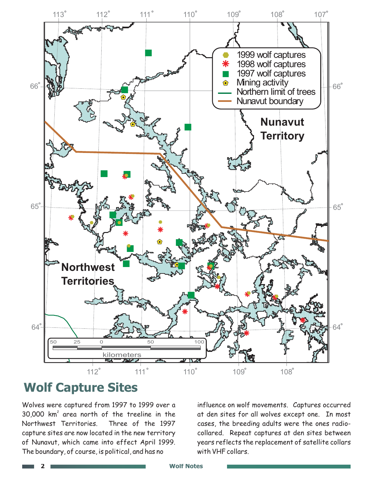

#### **Wolf Capture Sites**

Wolves were captured from 1997 to 1999 over a  $30,000$  km<sup>2</sup> area north of the treeline in the Northwest Territories. Three of the 1997 capture sites are now located in the new territory of Nunavut, which came into effect April 1999. The boundary, of course, is political, and has no

influence on wolf movements. Captures occurred at den sites for all wolves except one. In most cases, the breeding adults were the ones radiocollared. Repeat captures at den sites between years reflects the replacement of satellite collars with VHF collars.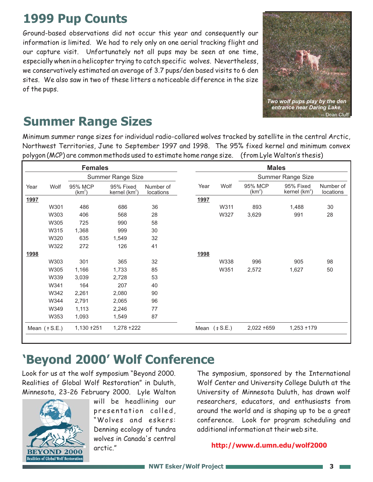## **1999 Pup Counts**

Ground-based observations did not occur this year and consequently our information is limited. We had to rely only on one aerial tracking flight and our capture visit. Unfortunately not all pups may be seen at one time, especially when in a helicopter trying to catch specific wolves. Nevertheless, we conservatively estimated an average of 3.7 pups/den based visits to 6 den sites. We also saw in two of these litters a noticeable difference in the size of the pups.



# **Summer Range Sizes**

|             |                                                          |                                                  |                              | polygon (MCP) are common methods used to estimate home range size. (from Lyle Walton's thesis) |              |                   |                                                  |                               |                        |
|-------------|----------------------------------------------------------|--------------------------------------------------|------------------------------|------------------------------------------------------------------------------------------------|--------------|-------------------|--------------------------------------------------|-------------------------------|------------------------|
|             | <b>Females</b>                                           |                                                  |                              |                                                                                                | <b>Males</b> |                   |                                                  |                               |                        |
|             |                                                          |                                                  | <b>Summer Range Size</b>     |                                                                                                |              |                   | <b>Summer Range Size</b>                         |                               |                        |
| Year        | Wolf                                                     | 95% MCP<br>(km²                                  | 95% Fixed<br>kernel $(km^2)$ | Number of<br>locations                                                                         | Year         | Wolf              | 95% MCP<br>(km <sup>2</sup> )                    | 95% Fixed<br>kernel ( $km2$ ) | Number of<br>locations |
| 1997        |                                                          |                                                  |                              |                                                                                                | 1997         |                   |                                                  |                               |                        |
|             | W301                                                     | 486                                              | 686                          | 36                                                                                             |              | W311              | 893                                              | 1,488                         | 30                     |
|             | W303                                                     | 406                                              | 568                          | 28                                                                                             |              | W327              | 3,629                                            | 991                           | 28                     |
|             | W305                                                     | 725                                              | 990                          | 58                                                                                             |              |                   |                                                  |                               |                        |
|             | W315                                                     | 1,368                                            | 999                          | 30                                                                                             |              |                   |                                                  |                               |                        |
|             | W320                                                     | 635                                              | 1,549                        | 32                                                                                             |              |                   |                                                  |                               |                        |
|             | W322                                                     | 272                                              | 126                          | 41                                                                                             |              |                   |                                                  |                               |                        |
| <u>1998</u> | W303                                                     | 301                                              | 365                          | 32                                                                                             | <u>1998</u>  | W338              | 996                                              | 905                           | 98                     |
|             | W305                                                     | 1,166                                            | 1,733                        | 85                                                                                             |              | W351              | 2,572                                            | 1,627                         | 50                     |
|             | W339                                                     | 3,039                                            | 2,728                        | 53                                                                                             |              |                   |                                                  |                               |                        |
|             | W341                                                     | 164                                              | 207                          | 40                                                                                             |              |                   |                                                  |                               |                        |
|             | W342                                                     | 2,261                                            | 2,080                        | 90                                                                                             |              |                   |                                                  |                               |                        |
|             | W344                                                     | 2,791                                            | 2,065                        | 96                                                                                             |              |                   |                                                  |                               |                        |
|             | W349                                                     | 1,113                                            | 2,246                        | 77                                                                                             |              |                   |                                                  |                               |                        |
|             | W353                                                     | 1,093                                            | 1,549                        | 87                                                                                             |              |                   |                                                  |                               |                        |
|             | Mean $(+ S.E.)$                                          | $1,130 + 251$                                    | $1,278 + 222$                |                                                                                                |              | Mean $(\pm S.E.)$ | $2,022 + 659$                                    | $1,253 + 179$                 |                        |
|             |                                                          |                                                  |                              |                                                                                                |              |                   |                                                  |                               |                        |
|             |                                                          | Look for us at the wolf symposium "Beyond 2000.  |                              | 'Beyond 2000' Wolf Conference                                                                  |              |                   | The symposium, sponsored by the International    |                               |                        |
|             |                                                          | Realities of Global Wolf Restoration" in Duluth, |                              |                                                                                                |              |                   | Wolf Center and University College Duluth at the |                               |                        |
|             |                                                          | Minnesota, 23-26 February 2000. Lyle Walton      |                              |                                                                                                |              |                   | University of Minnesota Duluth, has drawn wolf   |                               |                        |
|             |                                                          |                                                  | will be headlining our       |                                                                                                |              |                   | researchers, educators, and enthusiasts from     |                               |                        |
|             |                                                          |                                                  | presentation called,         |                                                                                                |              |                   | around the world and is shaping up to be a great |                               |                        |
|             |                                                          |                                                  |                              | "Wolves and eskers:                                                                            |              |                   | conference. Look for program scheduling and      |                               |                        |
|             |                                                          |                                                  |                              |                                                                                                |              |                   |                                                  |                               |                        |
|             |                                                          |                                                  |                              |                                                                                                |              |                   |                                                  |                               |                        |
|             |                                                          |                                                  | Denning ecology of tundra    |                                                                                                |              |                   | additional information at their web site.        |                               |                        |
|             |                                                          |                                                  | wolves in Canada's central   |                                                                                                |              |                   |                                                  |                               |                        |
|             | YOND 2000<br><b>Realities of Global Wolf Restoration</b> |                                                  | arctic."                     |                                                                                                |              |                   | http://www.d.umn.edu/wolf2000                    |                               |                        |

# **'Beyond 2000' Wolf Conference**



#### **http://www.d.umn.edu/wolf2000**